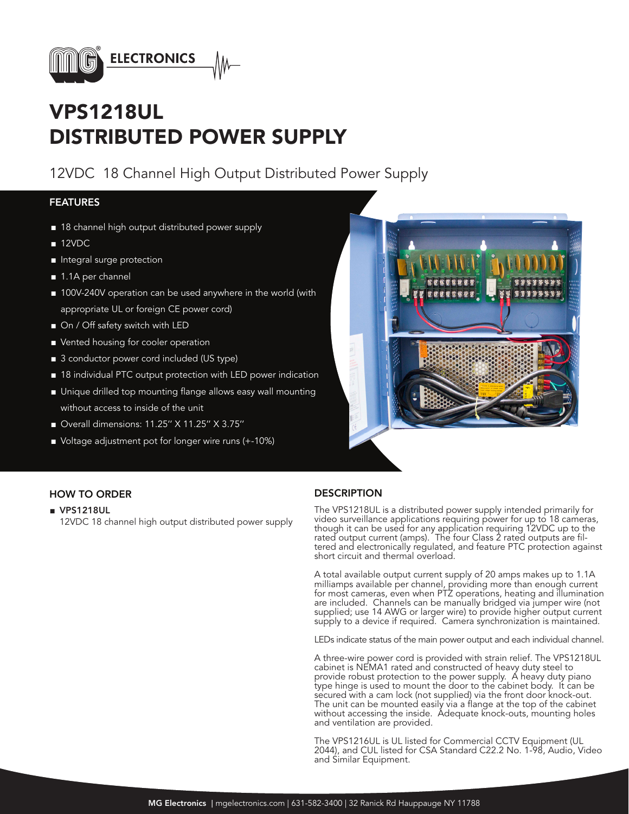

## VPS1218UL DISTRIBUTED POWER SUPPLY

## 12VDC 18 Channel High Output Distributed Power Supply

### FEATURES

- 18 channel high output distributed power supply
- 12VDC
- Integral surge protection
- 1.1A per channel
- 100V-240V operation can be used anywhere in the world (with appropriate UL or foreign CE power cord)
- On / Off safety switch with LED
- Vented housing for cooler operation
- 3 conductor power cord included (US type)
- 18 individual PTC output protection with LED power indication
- Unique drilled top mounting flange allows easy wall mounting without access to inside of the unit
- Overall dimensions: 11.25" X 11.25" X 3.75"
- Voltage adjustment pot for longer wire runs (+-10%)



### HOW TO ORDER **DESCRIPTION**

■ VPS1218UL

12VDC 18 channel high output distributed power supply

The VPS1218UL is a distributed power supply intended primarily for video surveillance applications requiring power for up to 18 cameras, though it can be used for any application requiring 12VDC up to the rated output current (amps). The four Class 2 rated outputs are filtered and electronically regulated, and feature PTC protection against short circuit and thermal overload.

A total available output current supply of 20 amps makes up to 1.1A milliamps available per channel, providing more than enough current for most cameras, even when PTZ operations, heating and illumination are included. Channels can be manually bridged via jumper wire (not supplied; use 14 AWG or larger wire) to provide higher output current supply to a device if required. Camera synchronization is maintained.

LEDs indicate status of the main power output and each individual channel.

A three-wire power cord is provided with strain relief. The VPS1218UL cabinet is NEMA1 rated and constructed of heavy duty steel to provide robust protection to the power supply. A heavy duty piano type hinge is used to mount the door to the cabinet body. It can be secured with a cam lock (not supplied) via the front door knock-out. The unit can be mounted easily via a flange at the top of the cabinet without accessing the inside. Adequate knock-outs, mounting holes and ventilation are provided.

The VPS1216UL is UL listed for Commercial CCTV Equipment (UL 2044), and CUL listed for CSA Standard C22.2 No. 1-98, Audio, Video and Similar Equipment.